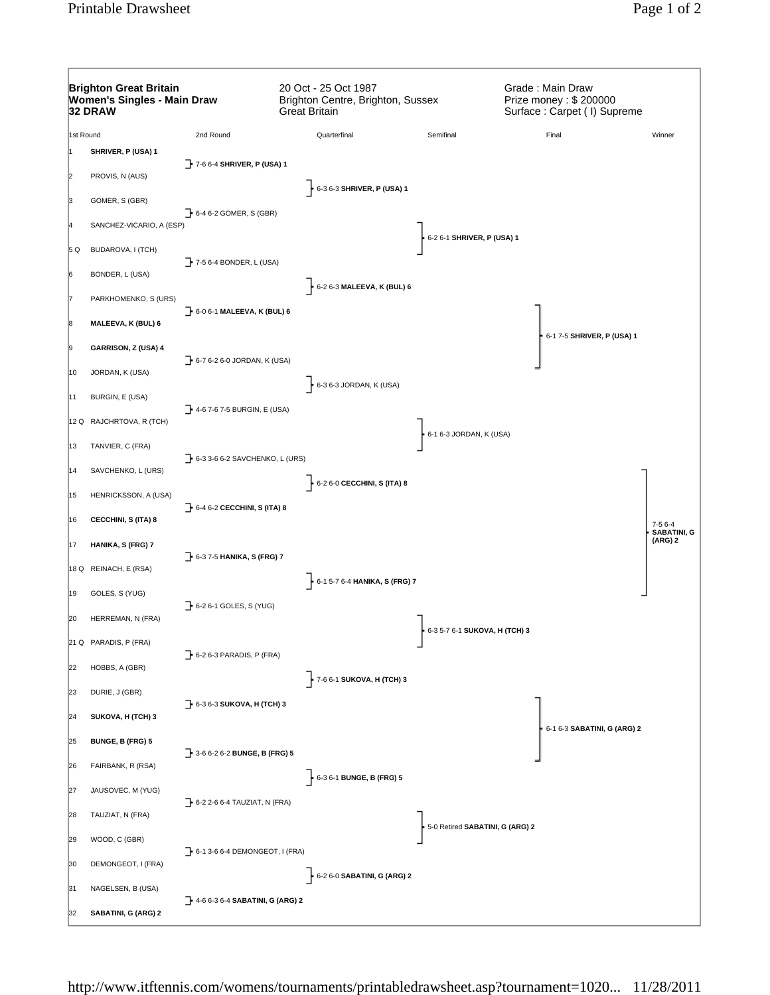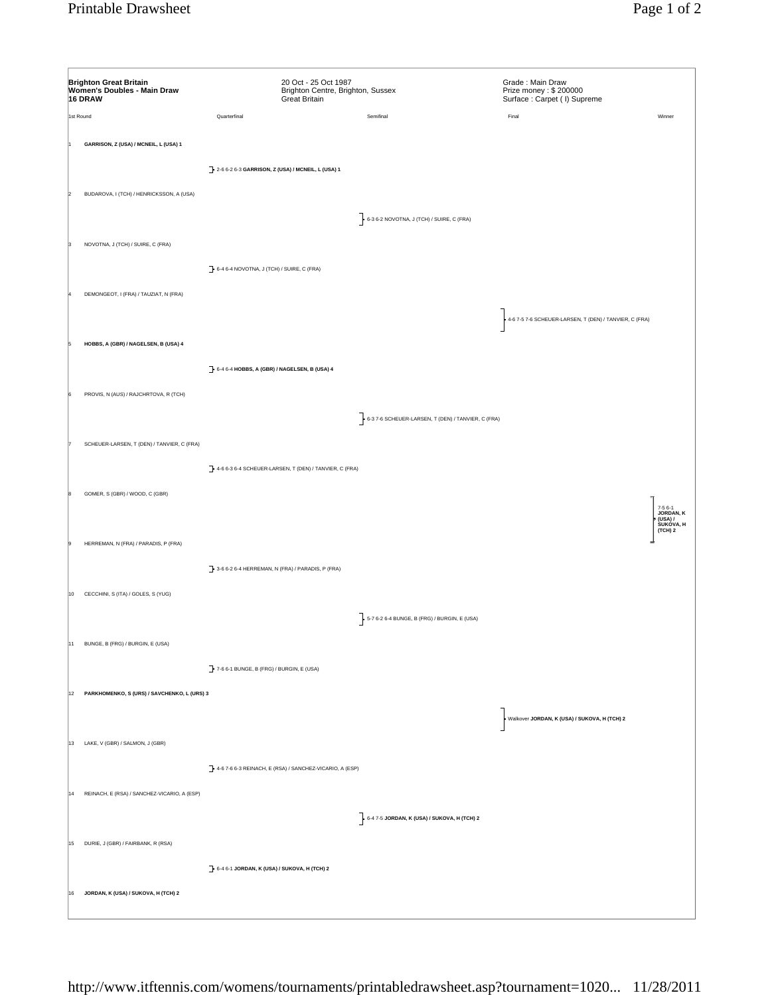| Quarterfinal<br>Semifinal<br>Final<br>1st Round<br>GARRISON, Z (USA) / MCNEIL, L (USA) 1<br>2-6 6-2 6-3 GARRISON, Z (USA) / MCNEIL, L (USA) 1<br>BUDAROVA, I (TCH) / HENRICKSSON, A (USA)<br>$\left.\begin{matrix} \end{matrix}\right\}$ 6-3 6-2 NOVOTNA, J (TCH) / SUIRE, C (FRA)<br>NOVOTNA, J (TCH) / SUIRE, C (FRA)<br>6-4 6-4 NOVOTNA, J (TCH) / SUIRE, C (FRA)<br>DEMONGEOT, I (FRA) / TAUZIAT, N (FRA)<br>4-6 7-5 7-6 SCHEUER-LARSEN, T (DEN) / TANVIER, C (FRA)<br>HOBBS, A (GBR) / NAGELSEN, B (USA) 4<br>$\rightarrow$ 6-4 6-4 HOBBS, A (GBR) / NAGELSEN, B (USA) 4<br>PROVIS, N (AUS) / RAJCHRTOVA, R (TCH)<br>6-3 7-6 SCHEUER-LARSEN, T (DEN) / TANVIER, C (FRA)<br>SCHEUER-LARSEN, T (DEN) / TANVIER, C (FRA)<br>4-6 6-3 6-4 SCHEUER-LARSEN, T (DEN) / TANVIER, C (FRA)<br>GOMER, S (GBR) / WOOD, C (GBR)<br>HERREMAN, N (FRA) / PARADIS, P (FRA)<br>3-6 6-2 6-4 HERREMAN, N (FRA) / PARADIS, P (FRA)<br>CECCHINI, S (ITA) / GOLES, S (YUG)<br>10<br>5-7 6-2 6-4 BUNGE, B (FRG) / BURGIN, E (USA)<br>11 BUNGE, B (FRG) / BURGIN, E (USA)<br>7-6 6-1 BUNGE, B (FRG) / BURGIN, E (USA)<br>12 PARKHOMENKO, S (URS) / SAVCHENKO, L (URS) 3<br>Walkover JORDAN, K (USA) / SUKOVA, H (TCH) 2<br>13 LAKE, V (GBR) / SALMON, J (GBR)<br>4-6 7-6 6-3 REINACH, E (RSA) / SANCHEZ-VICARIO, A (ESP)<br>14 REINACH, E (RSA) / SANCHEZ-VICARIO, A (ESP)<br>$\frac{1}{2}$ 6-4 7-5 JORDAN, K (USA) / SUKOVA, H (TCH) 2<br>15 DURIE, J (GBR) / FAIRBANK, R (RSA) | <b>Brighton Great Britain</b><br>Women's Doubles - Main Draw<br>16 DRAW |  | 20 Oct - 25 Oct 1987<br>Brighton Centre, Brighton, Sussex<br><b>Great Britain</b> |  | Grade: Main Draw<br>Prize money: \$200000<br>Surface: Carpet ( I) Supreme |                                              |
|--------------------------------------------------------------------------------------------------------------------------------------------------------------------------------------------------------------------------------------------------------------------------------------------------------------------------------------------------------------------------------------------------------------------------------------------------------------------------------------------------------------------------------------------------------------------------------------------------------------------------------------------------------------------------------------------------------------------------------------------------------------------------------------------------------------------------------------------------------------------------------------------------------------------------------------------------------------------------------------------------------------------------------------------------------------------------------------------------------------------------------------------------------------------------------------------------------------------------------------------------------------------------------------------------------------------------------------------------------------------------------------------------------------------------------------------------------------|-------------------------------------------------------------------------|--|-----------------------------------------------------------------------------------|--|---------------------------------------------------------------------------|----------------------------------------------|
|                                                                                                                                                                                                                                                                                                                                                                                                                                                                                                                                                                                                                                                                                                                                                                                                                                                                                                                                                                                                                                                                                                                                                                                                                                                                                                                                                                                                                                                              |                                                                         |  |                                                                                   |  |                                                                           | Winner                                       |
|                                                                                                                                                                                                                                                                                                                                                                                                                                                                                                                                                                                                                                                                                                                                                                                                                                                                                                                                                                                                                                                                                                                                                                                                                                                                                                                                                                                                                                                              |                                                                         |  |                                                                                   |  |                                                                           |                                              |
|                                                                                                                                                                                                                                                                                                                                                                                                                                                                                                                                                                                                                                                                                                                                                                                                                                                                                                                                                                                                                                                                                                                                                                                                                                                                                                                                                                                                                                                              |                                                                         |  |                                                                                   |  |                                                                           |                                              |
|                                                                                                                                                                                                                                                                                                                                                                                                                                                                                                                                                                                                                                                                                                                                                                                                                                                                                                                                                                                                                                                                                                                                                                                                                                                                                                                                                                                                                                                              |                                                                         |  |                                                                                   |  |                                                                           |                                              |
|                                                                                                                                                                                                                                                                                                                                                                                                                                                                                                                                                                                                                                                                                                                                                                                                                                                                                                                                                                                                                                                                                                                                                                                                                                                                                                                                                                                                                                                              |                                                                         |  |                                                                                   |  |                                                                           |                                              |
|                                                                                                                                                                                                                                                                                                                                                                                                                                                                                                                                                                                                                                                                                                                                                                                                                                                                                                                                                                                                                                                                                                                                                                                                                                                                                                                                                                                                                                                              |                                                                         |  |                                                                                   |  |                                                                           |                                              |
|                                                                                                                                                                                                                                                                                                                                                                                                                                                                                                                                                                                                                                                                                                                                                                                                                                                                                                                                                                                                                                                                                                                                                                                                                                                                                                                                                                                                                                                              |                                                                         |  |                                                                                   |  |                                                                           |                                              |
|                                                                                                                                                                                                                                                                                                                                                                                                                                                                                                                                                                                                                                                                                                                                                                                                                                                                                                                                                                                                                                                                                                                                                                                                                                                                                                                                                                                                                                                              |                                                                         |  |                                                                                   |  |                                                                           |                                              |
|                                                                                                                                                                                                                                                                                                                                                                                                                                                                                                                                                                                                                                                                                                                                                                                                                                                                                                                                                                                                                                                                                                                                                                                                                                                                                                                                                                                                                                                              |                                                                         |  |                                                                                   |  |                                                                           |                                              |
|                                                                                                                                                                                                                                                                                                                                                                                                                                                                                                                                                                                                                                                                                                                                                                                                                                                                                                                                                                                                                                                                                                                                                                                                                                                                                                                                                                                                                                                              |                                                                         |  |                                                                                   |  |                                                                           |                                              |
|                                                                                                                                                                                                                                                                                                                                                                                                                                                                                                                                                                                                                                                                                                                                                                                                                                                                                                                                                                                                                                                                                                                                                                                                                                                                                                                                                                                                                                                              |                                                                         |  |                                                                                   |  |                                                                           |                                              |
|                                                                                                                                                                                                                                                                                                                                                                                                                                                                                                                                                                                                                                                                                                                                                                                                                                                                                                                                                                                                                                                                                                                                                                                                                                                                                                                                                                                                                                                              |                                                                         |  |                                                                                   |  |                                                                           |                                              |
|                                                                                                                                                                                                                                                                                                                                                                                                                                                                                                                                                                                                                                                                                                                                                                                                                                                                                                                                                                                                                                                                                                                                                                                                                                                                                                                                                                                                                                                              |                                                                         |  |                                                                                   |  |                                                                           |                                              |
|                                                                                                                                                                                                                                                                                                                                                                                                                                                                                                                                                                                                                                                                                                                                                                                                                                                                                                                                                                                                                                                                                                                                                                                                                                                                                                                                                                                                                                                              |                                                                         |  |                                                                                   |  |                                                                           |                                              |
|                                                                                                                                                                                                                                                                                                                                                                                                                                                                                                                                                                                                                                                                                                                                                                                                                                                                                                                                                                                                                                                                                                                                                                                                                                                                                                                                                                                                                                                              |                                                                         |  |                                                                                   |  |                                                                           |                                              |
|                                                                                                                                                                                                                                                                                                                                                                                                                                                                                                                                                                                                                                                                                                                                                                                                                                                                                                                                                                                                                                                                                                                                                                                                                                                                                                                                                                                                                                                              |                                                                         |  |                                                                                   |  |                                                                           |                                              |
|                                                                                                                                                                                                                                                                                                                                                                                                                                                                                                                                                                                                                                                                                                                                                                                                                                                                                                                                                                                                                                                                                                                                                                                                                                                                                                                                                                                                                                                              |                                                                         |  |                                                                                   |  |                                                                           |                                              |
|                                                                                                                                                                                                                                                                                                                                                                                                                                                                                                                                                                                                                                                                                                                                                                                                                                                                                                                                                                                                                                                                                                                                                                                                                                                                                                                                                                                                                                                              |                                                                         |  |                                                                                   |  |                                                                           |                                              |
|                                                                                                                                                                                                                                                                                                                                                                                                                                                                                                                                                                                                                                                                                                                                                                                                                                                                                                                                                                                                                                                                                                                                                                                                                                                                                                                                                                                                                                                              |                                                                         |  |                                                                                   |  |                                                                           |                                              |
|                                                                                                                                                                                                                                                                                                                                                                                                                                                                                                                                                                                                                                                                                                                                                                                                                                                                                                                                                                                                                                                                                                                                                                                                                                                                                                                                                                                                                                                              |                                                                         |  |                                                                                   |  |                                                                           | 7-5 6-1<br><b>JORDAN, K</b>                  |
|                                                                                                                                                                                                                                                                                                                                                                                                                                                                                                                                                                                                                                                                                                                                                                                                                                                                                                                                                                                                                                                                                                                                                                                                                                                                                                                                                                                                                                                              |                                                                         |  |                                                                                   |  |                                                                           | JORDAN, R<br>(USA) /<br>SUKOVA, H<br>(TCH) 2 |
|                                                                                                                                                                                                                                                                                                                                                                                                                                                                                                                                                                                                                                                                                                                                                                                                                                                                                                                                                                                                                                                                                                                                                                                                                                                                                                                                                                                                                                                              |                                                                         |  |                                                                                   |  |                                                                           |                                              |
|                                                                                                                                                                                                                                                                                                                                                                                                                                                                                                                                                                                                                                                                                                                                                                                                                                                                                                                                                                                                                                                                                                                                                                                                                                                                                                                                                                                                                                                              |                                                                         |  |                                                                                   |  |                                                                           |                                              |
|                                                                                                                                                                                                                                                                                                                                                                                                                                                                                                                                                                                                                                                                                                                                                                                                                                                                                                                                                                                                                                                                                                                                                                                                                                                                                                                                                                                                                                                              |                                                                         |  |                                                                                   |  |                                                                           |                                              |
|                                                                                                                                                                                                                                                                                                                                                                                                                                                                                                                                                                                                                                                                                                                                                                                                                                                                                                                                                                                                                                                                                                                                                                                                                                                                                                                                                                                                                                                              |                                                                         |  |                                                                                   |  |                                                                           |                                              |
|                                                                                                                                                                                                                                                                                                                                                                                                                                                                                                                                                                                                                                                                                                                                                                                                                                                                                                                                                                                                                                                                                                                                                                                                                                                                                                                                                                                                                                                              |                                                                         |  |                                                                                   |  |                                                                           |                                              |
|                                                                                                                                                                                                                                                                                                                                                                                                                                                                                                                                                                                                                                                                                                                                                                                                                                                                                                                                                                                                                                                                                                                                                                                                                                                                                                                                                                                                                                                              |                                                                         |  |                                                                                   |  |                                                                           |                                              |
|                                                                                                                                                                                                                                                                                                                                                                                                                                                                                                                                                                                                                                                                                                                                                                                                                                                                                                                                                                                                                                                                                                                                                                                                                                                                                                                                                                                                                                                              |                                                                         |  |                                                                                   |  |                                                                           |                                              |
|                                                                                                                                                                                                                                                                                                                                                                                                                                                                                                                                                                                                                                                                                                                                                                                                                                                                                                                                                                                                                                                                                                                                                                                                                                                                                                                                                                                                                                                              |                                                                         |  |                                                                                   |  |                                                                           |                                              |
|                                                                                                                                                                                                                                                                                                                                                                                                                                                                                                                                                                                                                                                                                                                                                                                                                                                                                                                                                                                                                                                                                                                                                                                                                                                                                                                                                                                                                                                              |                                                                         |  |                                                                                   |  |                                                                           |                                              |
|                                                                                                                                                                                                                                                                                                                                                                                                                                                                                                                                                                                                                                                                                                                                                                                                                                                                                                                                                                                                                                                                                                                                                                                                                                                                                                                                                                                                                                                              |                                                                         |  |                                                                                   |  |                                                                           |                                              |
|                                                                                                                                                                                                                                                                                                                                                                                                                                                                                                                                                                                                                                                                                                                                                                                                                                                                                                                                                                                                                                                                                                                                                                                                                                                                                                                                                                                                                                                              |                                                                         |  |                                                                                   |  |                                                                           |                                              |
|                                                                                                                                                                                                                                                                                                                                                                                                                                                                                                                                                                                                                                                                                                                                                                                                                                                                                                                                                                                                                                                                                                                                                                                                                                                                                                                                                                                                                                                              |                                                                         |  |                                                                                   |  |                                                                           |                                              |
|                                                                                                                                                                                                                                                                                                                                                                                                                                                                                                                                                                                                                                                                                                                                                                                                                                                                                                                                                                                                                                                                                                                                                                                                                                                                                                                                                                                                                                                              |                                                                         |  |                                                                                   |  |                                                                           |                                              |
|                                                                                                                                                                                                                                                                                                                                                                                                                                                                                                                                                                                                                                                                                                                                                                                                                                                                                                                                                                                                                                                                                                                                                                                                                                                                                                                                                                                                                                                              |                                                                         |  |                                                                                   |  |                                                                           |                                              |
|                                                                                                                                                                                                                                                                                                                                                                                                                                                                                                                                                                                                                                                                                                                                                                                                                                                                                                                                                                                                                                                                                                                                                                                                                                                                                                                                                                                                                                                              |                                                                         |  |                                                                                   |  |                                                                           |                                              |
|                                                                                                                                                                                                                                                                                                                                                                                                                                                                                                                                                                                                                                                                                                                                                                                                                                                                                                                                                                                                                                                                                                                                                                                                                                                                                                                                                                                                                                                              |                                                                         |  | $\rightarrow$ 6-4 6-1 JORDAN, K (USA) / SUKOVA, H (TCH) 2                         |  |                                                                           |                                              |
|                                                                                                                                                                                                                                                                                                                                                                                                                                                                                                                                                                                                                                                                                                                                                                                                                                                                                                                                                                                                                                                                                                                                                                                                                                                                                                                                                                                                                                                              |                                                                         |  |                                                                                   |  |                                                                           |                                              |
| JORDAN, K (USA) / SUKOVA, H (TCH) 2<br>16                                                                                                                                                                                                                                                                                                                                                                                                                                                                                                                                                                                                                                                                                                                                                                                                                                                                                                                                                                                                                                                                                                                                                                                                                                                                                                                                                                                                                    |                                                                         |  |                                                                                   |  |                                                                           |                                              |